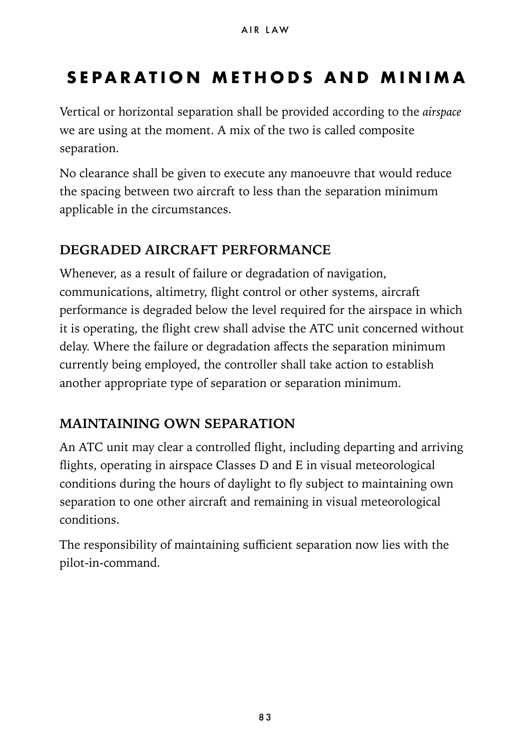# <span id="page-0-0"></span>**SEPARATION METHODS AND MINIMA**

Vertical or horizontal separation shall be provided according to the *[airspace](#page-0-0)* we are using at the moment. A mix of the two is called composite separation.

No clearance shall be given to execute any manoeuvre that would reduce the spacing between two aircraft to less than the separation minimum applicable in the circumstances.

### **DEGRADED AIRCRAFT PERFORMANCE**

Whenever, as a result of failure or degradation of navigation, communications, altimetry, flight control or other systems, aircraft performance is degraded below the level required for the airspace in which it is operating, the flight crew shall advise the ATC unit concerned without delay. Where the failure or degradation affects the separation minimum currently being employed, the controller shall take action to establish another appropriate type of separation or separation minimum.

### **MAINTAINING OWN SEPARATION**

An ATC unit may clear a controlled flight, including departing and arriving flights, operating in airspace Classes D and E in visual meteorological conditions during the hours of daylight to fly subject to maintaining own separation to one other aircraft and remaining in visual meteorological conditions.

The responsibility of maintaining sufficient separation now lies with the pilot-in-command.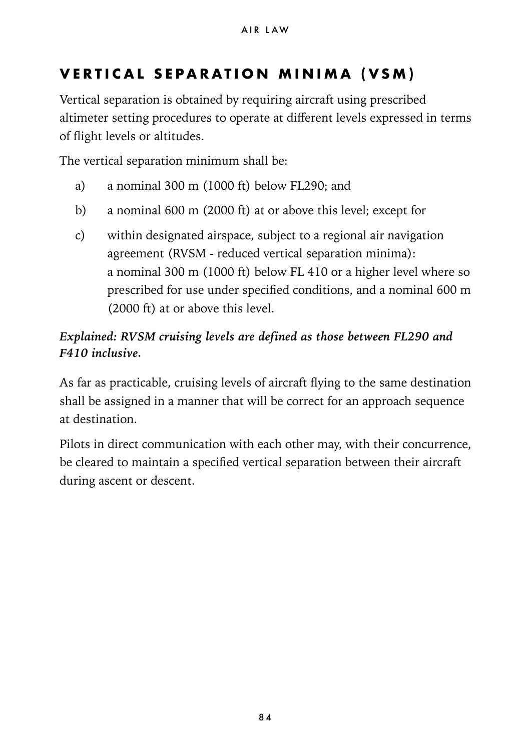## **VERTICAL SEPARATION MINIMA (VSM)**

Vertical separation is obtained by requiring aircraft using prescribed altimeter setting procedures to operate at different levels expressed in terms of flight levels or altitudes.

The vertical separation minimum shall be:

- a) a nominal 300 m (1000 ft) below FL290; and
- b) a nominal 600 m (2000 ft) at or above this level; except for
- c) within designated airspace, subject to a regional air navigation agreement (RVSM - reduced vertical separation minima): a nominal 300 m (1000 ft) below FL 410 or a higher level where so prescribed for use under specified conditions, and a nominal 600 m (2000 ft) at or above this level.

#### *Explained: RVSM cruising levels are defined as those between FL290 and F410 inclusive.*

As far as practicable, cruising levels of aircraft flying to the same destination shall be assigned in a manner that will be correct for an approach sequence at destination.

Pilots in direct communication with each other may, with their concurrence, be cleared to maintain a specified vertical separation between their aircraft during ascent or descent.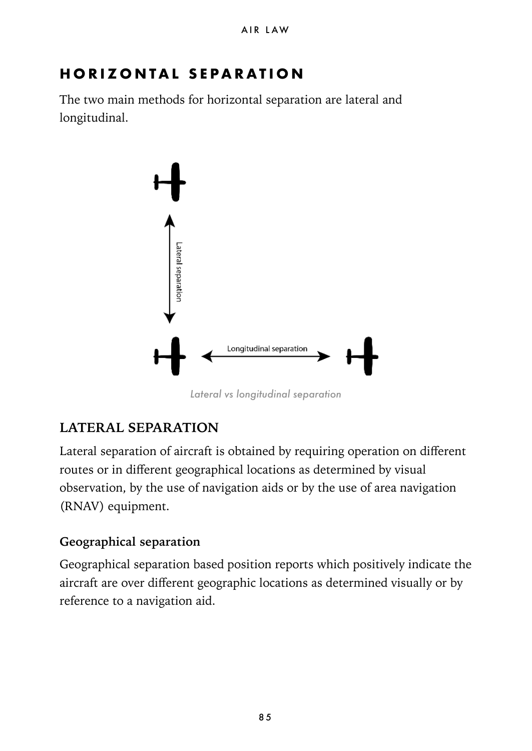## **HORIZONTAL SEPARATION**

The two main methods for horizontal separation are lateral and longitudinal.



*Lateral vs longitudinal separation*

#### **LATERAL SEPARATION**

Lateral separation of aircraft is obtained by requiring operation on different routes or in different geographical locations as determined by visual observation, by the use of navigation aids or by the use of area navigation (RNAV) equipment.

#### **Geographical separation**

Geographical separation based position reports which positively indicate the aircraft are over different geographic locations as determined visually or by reference to a navigation aid.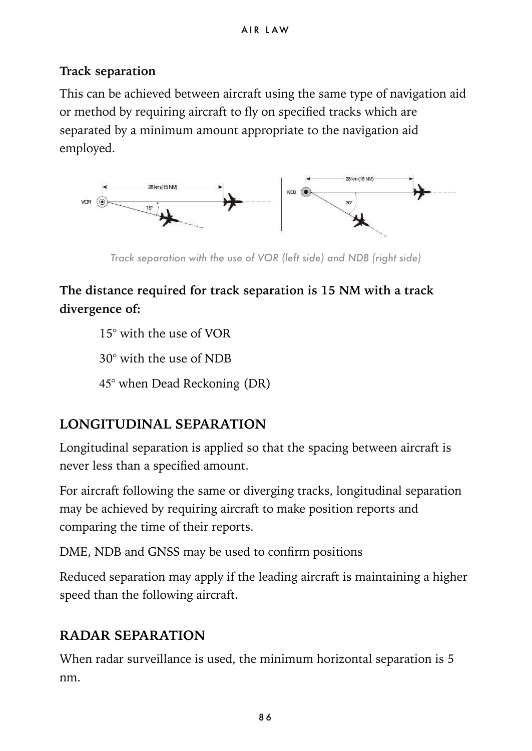#### **Track separation**

This can be achieved between aircraft using the same type of navigation aid or method by requiring aircraft to fly on specified tracks which are separated by a minimum amount appropriate to the navigation aid employed.



*Track separation with the use of VOR (left side) and NDB (right side)*

### **The distance required for track separation is 15 NM with a track divergence of:**

15° with the use of VOR

30° with the use of NDB

45° when Dead Reckoning (DR)

### **LONGITUDINAL SEPARATION**

Longitudinal separation is applied so that the spacing between aircraft is never less than a specified amount.

For aircraft following the same or diverging tracks, longitudinal separation may be achieved by requiring aircraft to make position reports and comparing the time of their reports.

DME, NDB and GNSS may be used to confirm positions

Reduced separation may apply if the leading aircraft is maintaining a higher speed than the following aircraft.

### **RADAR SEPARATION**

When radar surveillance is used, the minimum horizontal separation is 5 nm.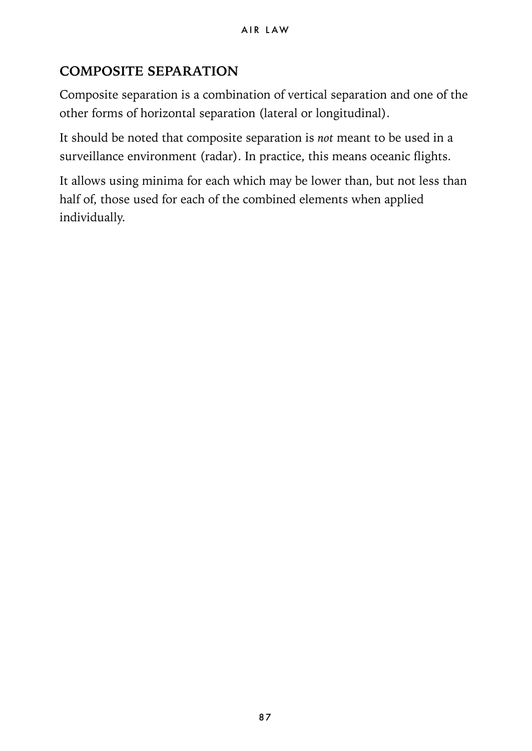### **COMPOSITE SEPARATION**

Composite separation is a combination of vertical separation and one of the other forms of horizontal separation (lateral or longitudinal).

It should be noted that composite separation is *not* meant to be used in a surveillance environment (radar). In practice, this means oceanic flights.

It allows using minima for each which may be lower than, but not less than half of, those used for each of the combined elements when applied individually.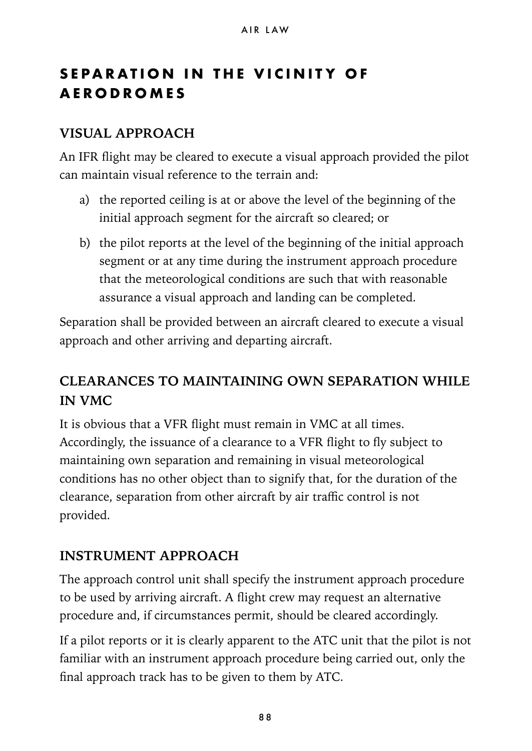## **SEPARATION IN THE VICINITY OF AERODROMES**

#### **VISUAL APPROACH**

An IFR flight may be cleared to execute a visual approach provided the pilot can maintain visual reference to the terrain and:

- a) the reported ceiling is at or above the level of the beginning of the initial approach segment for the aircraft so cleared; or
- b) the pilot reports at the level of the beginning of the initial approach segment or at any time during the instrument approach procedure that the meteorological conditions are such that with reasonable assurance a visual approach and landing can be completed.

Separation shall be provided between an aircraft cleared to execute a visual approach and other arriving and departing aircraft.

### **CLEARANCES TO MAINTAINING OWN SEPARATION WHILE IN VMC**

It is obvious that a VFR flight must remain in VMC at all times. Accordingly, the issuance of a clearance to a VFR flight to fly subject to maintaining own separation and remaining in visual meteorological conditions has no other object than to signify that, for the duration of the clearance, separation from other aircraft by air traffic control is not provided.

### **INSTRUMENT APPROACH**

The approach control unit shall specify the instrument approach procedure to be used by arriving aircraft. A flight crew may request an alternative procedure and, if circumstances permit, should be cleared accordingly.

If a pilot reports or it is clearly apparent to the ATC unit that the pilot is not familiar with an instrument approach procedure being carried out, only the final approach track has to be given to them by ATC.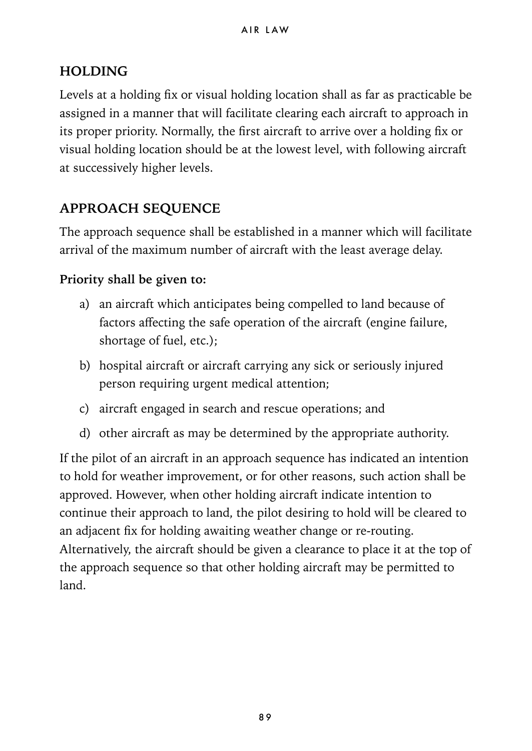#### **HOLDING**

Levels at a holding fix or visual holding location shall as far as practicable be assigned in a manner that will facilitate clearing each aircraft to approach in its proper priority. Normally, the first aircraft to arrive over a holding fix or visual holding location should be at the lowest level, with following aircraft at successively higher levels.

### **APPROACH SEQUENCE**

The approach sequence shall be established in a manner which will facilitate arrival of the maximum number of aircraft with the least average delay.

#### **Priority shall be given to:**

- a) an aircraft which anticipates being compelled to land because of factors affecting the safe operation of the aircraft (engine failure, shortage of fuel, etc.);
- b) hospital aircraft or aircraft carrying any sick or seriously injured person requiring urgent medical attention;
- c) aircraft engaged in search and rescue operations; and
- d) other aircraft as may be determined by the appropriate authority.

If the pilot of an aircraft in an approach sequence has indicated an intention to hold for weather improvement, or for other reasons, such action shall be approved. However, when other holding aircraft indicate intention to continue their approach to land, the pilot desiring to hold will be cleared to an adjacent fix for holding awaiting weather change or re-routing. Alternatively, the aircraft should be given a clearance to place it at the top of the approach sequence so that other holding aircraft may be permitted to land.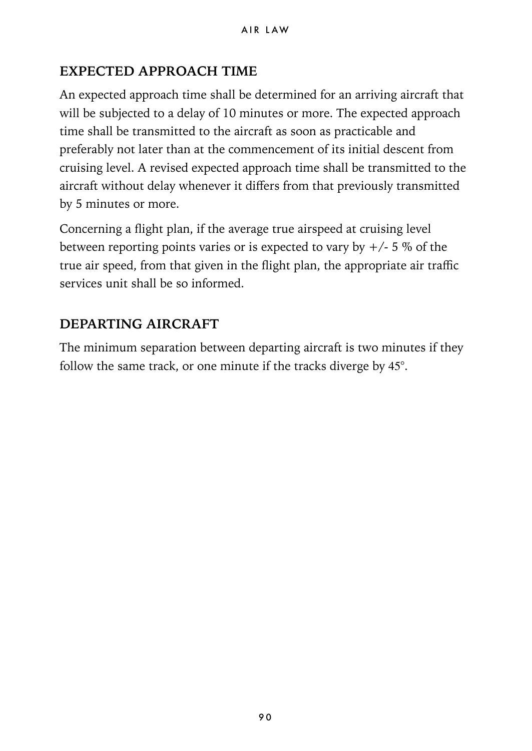### **EXPECTED APPROACH TIME**

An expected approach time shall be determined for an arriving aircraft that will be subjected to a delay of 10 minutes or more. The expected approach time shall be transmitted to the aircraft as soon as practicable and preferably not later than at the commencement of its initial descent from cruising level. A revised expected approach time shall be transmitted to the aircraft without delay whenever it differs from that previously transmitted by 5 minutes or more.

Concerning a flight plan, if the average true airspeed at cruising level between reporting points varies or is expected to vary by  $+/- 5\%$  of the true air speed, from that given in the flight plan, the appropriate air traffic services unit shall be so informed.

### **DEPARTING AIRCRAFT**

The minimum separation between departing aircraft is two minutes if they follow the same track, or one minute if the tracks diverge by 45°.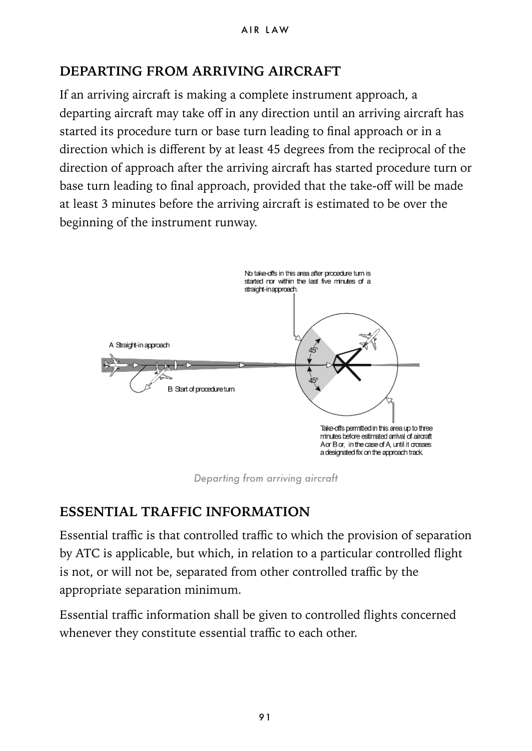### **DEPARTING FROM ARRIVING AIRCRAFT**

If an arriving aircraft is making a complete instrument approach, a departing aircraft may take off in any direction until an arriving aircraft has started its procedure turn or base turn leading to final approach or in a direction which is different by at least 45 degrees from the reciprocal of the direction of approach after the arriving aircraft has started procedure turn or base turn leading to final approach, provided that the take-off will be made at least 3 minutes before the arriving aircraft is estimated to be over the beginning of the instrument runway.



*Departing from arriving aircraft*

### **ESSENTIAL TRAFFIC INFORMATION**

Essential traffic is that controlled traffic to which the provision of separation by ATC is applicable, but which, in relation to a particular controlled flight is not, or will not be, separated from other controlled traffic by the appropriate separation minimum.

Essential traffic information shall be given to controlled flights concerned whenever they constitute essential traffic to each other.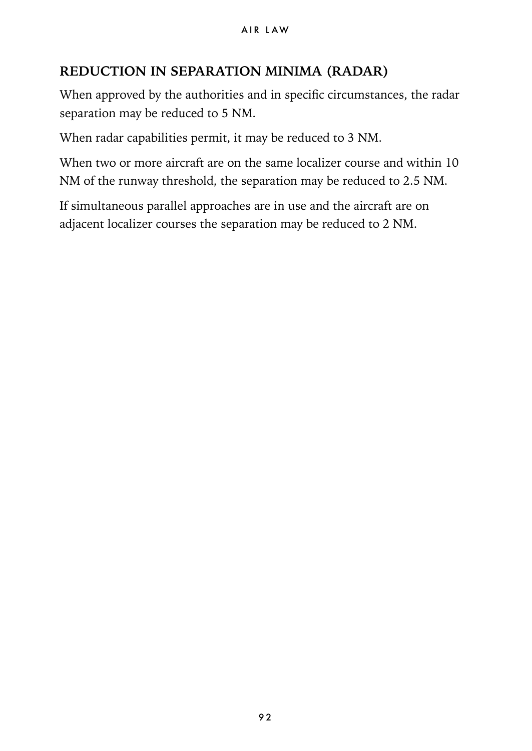#### **REDUCTION IN SEPARATION MINIMA (RADAR)**

When approved by the authorities and in specific circumstances, the radar separation may be reduced to 5 NM.

When radar capabilities permit, it may be reduced to 3 NM.

When two or more aircraft are on the same localizer course and within 10 NM of the runway threshold, the separation may be reduced to 2.5 NM.

If simultaneous parallel approaches are in use and the aircraft are on adjacent localizer courses the separation may be reduced to 2 NM.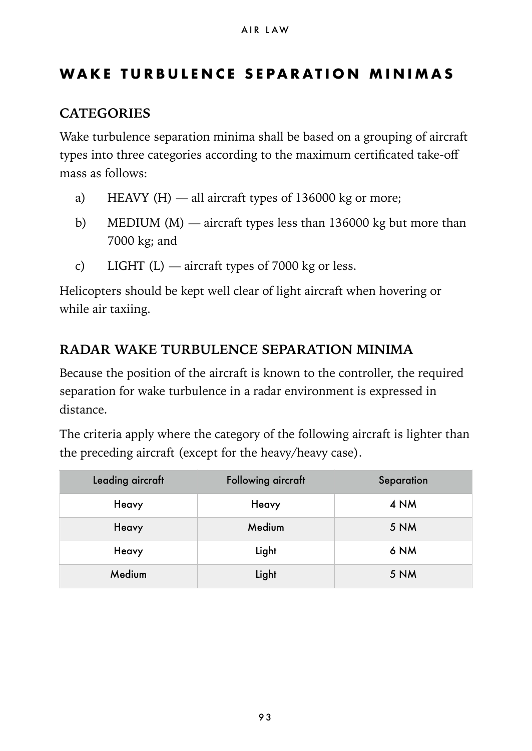### **WAKE TURBULENCE SEPARATION MINIMAS**

#### **CATEGORIES**

Wake turbulence separation minima shall be based on a grouping of aircraft types into three categories according to the maximum certificated take-off mass as follows:

- a) HEAVY  $(H)$  all aircraft types of 136000 kg or more;
- b) MEDIUM  $(M)$  aircraft types less than 136000 kg but more than 7000 kg; and
- c) LIGHT  $(L)$  aircraft types of 7000 kg or less.

Helicopters should be kept well clear of light aircraft when hovering or while air taxiing.

#### **RADAR WAKE TURBULENCE SEPARATION MINIMA**

Because the position of the aircraft is known to the controller, the required separation for wake turbulence in a radar environment is expressed in distance.

The criteria apply where the category of the following aircraft is lighter than the preceding aircraft (except for the heavy/heavy case).

| Leading aircraft | Following aircraft | Separation |
|------------------|--------------------|------------|
| Heavy            | Heavy              | 4 NM       |
| Heavy            | Medium             | 5 NM       |
| Heavy            | Light              | 6 NM       |
| Medium           | Light              | 5 NM       |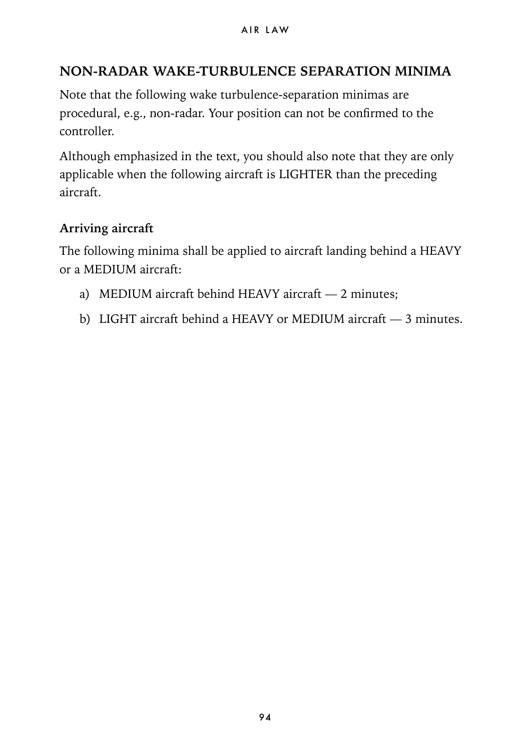### **NON-RADAR WAKE-TURBULENCE SEPARATION MINIMA**

Note that the following wake turbulence-separation minimas are procedural, e.g., non-radar. Your position can not be confirmed to the controller.

Although emphasized in the text, you should also note that they are only applicable when the following aircraft is LIGHTER than the preceding aircraft.

#### **Arriving aircraft**

The following minima shall be applied to aircraft landing behind a HEAVY or a MEDIUM aircraft:

- a) MEDIUM aircraft behind HEAVY aircraft 2 minutes;
- b) LIGHT aircraft behind a HEAVY or MEDIUM aircraft 3 minutes.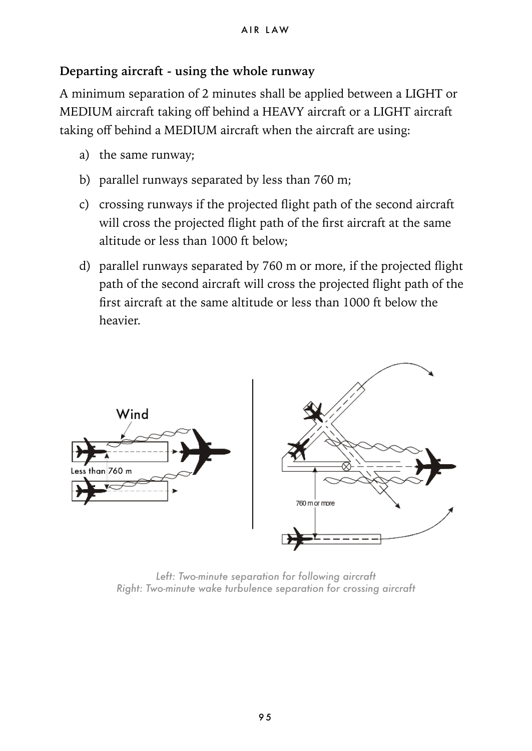#### **Departing aircraft - using the whole runway**

A minimum separation of 2 minutes shall be applied between a LIGHT or MEDIUM aircraft taking off behind a HEAVY aircraft or a LIGHT aircraft taking off behind a MEDIUM aircraft when the aircraft are using:

- a) the same runway;
- b) parallel runways separated by less than 760 m;
- c) crossing runways if the projected flight path of the second aircraft will cross the projected flight path of the first aircraft at the same altitude or less than 1000 ft below;
- d) parallel runways separated by 760 m or more, if the projected flight path of the second aircraft will cross the projected flight path of the first aircraft at the same altitude or less than 1000 ft below the heavier.



*Left: Two-minute separation for following aircraft Right: Two-minute wake turbulence separation for crossing aircraft*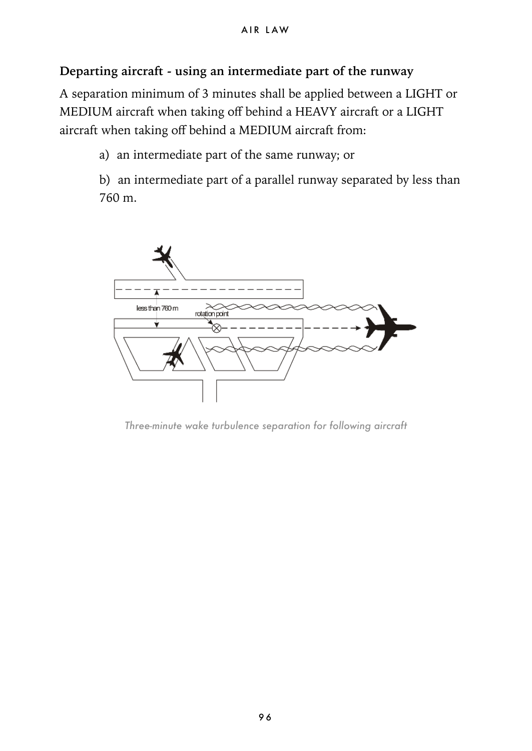#### **Departing aircraft - using an intermediate part of the runway**

A separation minimum of 3 minutes shall be applied between a LIGHT or MEDIUM aircraft when taking off behind a HEAVY aircraft or a LIGHT aircraft when taking off behind a MEDIUM aircraft from:

a) an intermediate part of the same runway; or

b) an intermediate part of a parallel runway separated by less than 760 m.



*Three-minute wake turbulence separation for following aircraft*